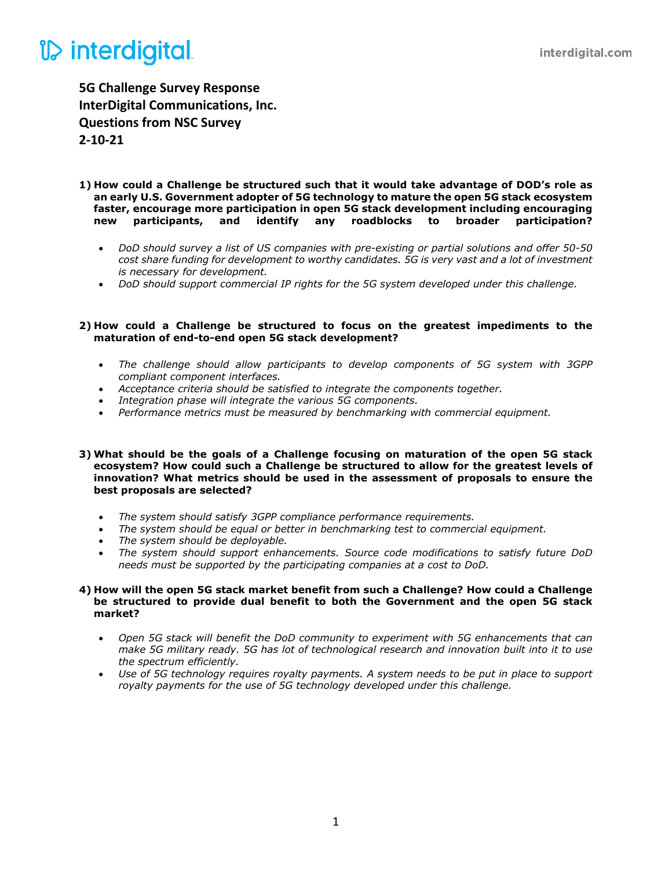## *V* interdigital

**5G Challenge Survey Response InterDigital Communications, Inc. Questions from NSC Survey 2-10-21**

- **1) How could a Challenge be structured such that it would take advantage of DOD's role as an early U.S. Government adopter of 5G technology to mature the open 5G stack ecosystem faster, encourage more participation in open 5G stack development including encouraging new participants, and identify any roadblocks to broader participation?**
	- *DoD should survey a list of US companies with pre-existing or partial solutions and offer 50-50 cost share funding for development to worthy candidates. 5G is very vast and a lot of investment is necessary for development.*
	- *DoD should support commercial IP rights for the 5G system developed under this challenge.*

#### **2) How could a Challenge be structured to focus on the greatest impediments to the maturation of end-to-end open 5G stack development?**

- *The challenge should allow participants to develop components of 5G system with 3GPP compliant component interfaces.*
- *Acceptance criteria should be satisfied to integrate the components together.*
- *Integration phase will integrate the various 5G components.*
- *Performance metrics must be measured by benchmarking with commercial equipment.*

#### **3) What should be the goals of a Challenge focusing on maturation of the open 5G stack ecosystem? How could such a Challenge be structured to allow for the greatest levels of innovation? What metrics should be used in the assessment of proposals to ensure the best proposals are selected?**

- *The system should satisfy 3GPP compliance performance requirements.*
- *The system should be equal or better in benchmarking test to commercial equipment.*
- *The system should be deployable.*
- *The system should support enhancements. Source code modifications to satisfy future DoD needs must be supported by the participating companies at a cost to DoD.*

#### **4) How will the open 5G stack market benefit from such a Challenge? How could a Challenge be structured to provide dual benefit to both the Government and the open 5G stack market?**

- *Open 5G stack will benefit the DoD community to experiment with 5G enhancements that can make 5G military ready. 5G has lot of technological research and innovation built into it to use the spectrum efficiently.*
- *Use of 5G technology requires royalty payments. A system needs to be put in place to support royalty payments for the use of 5G technology developed under this challenge.*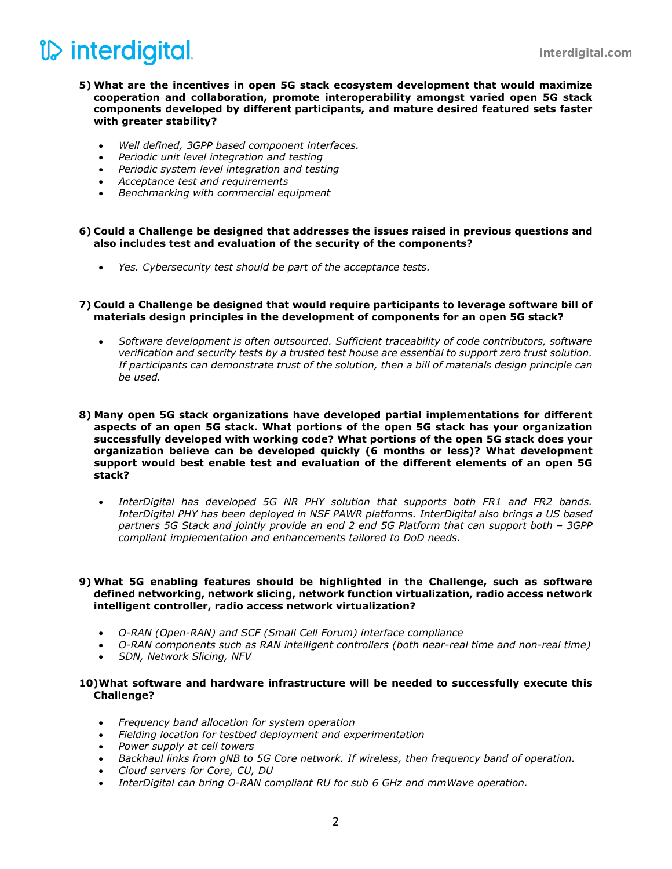## *V* interdigital

- **5) What are the incentives in open 5G stack ecosystem development that would maximize cooperation and collaboration, promote interoperability amongst varied open 5G stack components developed by different participants, and mature desired featured sets faster with greater stability?**
	- *Well defined, 3GPP based component interfaces.*
	- *Periodic unit level integration and testing*
	- *Periodic system level integration and testing*
	- *Acceptance test and requirements*
	- *Benchmarking with commercial equipment*

## **6) Could a Challenge be designed that addresses the issues raised in previous questions and also includes test and evaluation of the security of the components?**

• *Yes. Cybersecurity test should be part of the acceptance tests.*

## **7) Could a Challenge be designed that would require participants to leverage software bill of materials design principles in the development of components for an open 5G stack?**

• *Software development is often outsourced. Sufficient traceability of code contributors, software verification and security tests by a trusted test house are essential to support zero trust solution. If participants can demonstrate trust of the solution, then a bill of materials design principle can be used.*

#### **8) Many open 5G stack organizations have developed partial implementations for different aspects of an open 5G stack. What portions of the open 5G stack has your organization successfully developed with working code? What portions of the open 5G stack does your organization believe can be developed quickly (6 months or less)? What development support would best enable test and evaluation of the different elements of an open 5G stack?**

• *InterDigital has developed 5G NR PHY solution that supports both FR1 and FR2 bands. InterDigital PHY has been deployed in NSF PAWR platforms. InterDigital also brings a US based partners 5G Stack and jointly provide an end 2 end 5G Platform that can support both – 3GPP compliant implementation and enhancements tailored to DoD needs.*

## **9) What 5G enabling features should be highlighted in the Challenge, such as software defined networking, network slicing, network function virtualization, radio access network intelligent controller, radio access network virtualization?**

- *O-RAN (Open-RAN) and SCF (Small Cell Forum) interface compliance*
- *O-RAN components such as RAN intelligent controllers (both near-real time and non-real time)*
- *SDN, Network Slicing, NFV*

## **10)What software and hardware infrastructure will be needed to successfully execute this Challenge?**

- *Frequency band allocation for system operation*
- *Fielding location for testbed deployment and experimentation*
- *Power supply at cell towers*
- *Backhaul links from gNB to 5G Core network. If wireless, then frequency band of operation.*
- *Cloud servers for Core, CU, DU*
- *InterDigital can bring O-RAN compliant RU for sub 6 GHz and mmWave operation.*